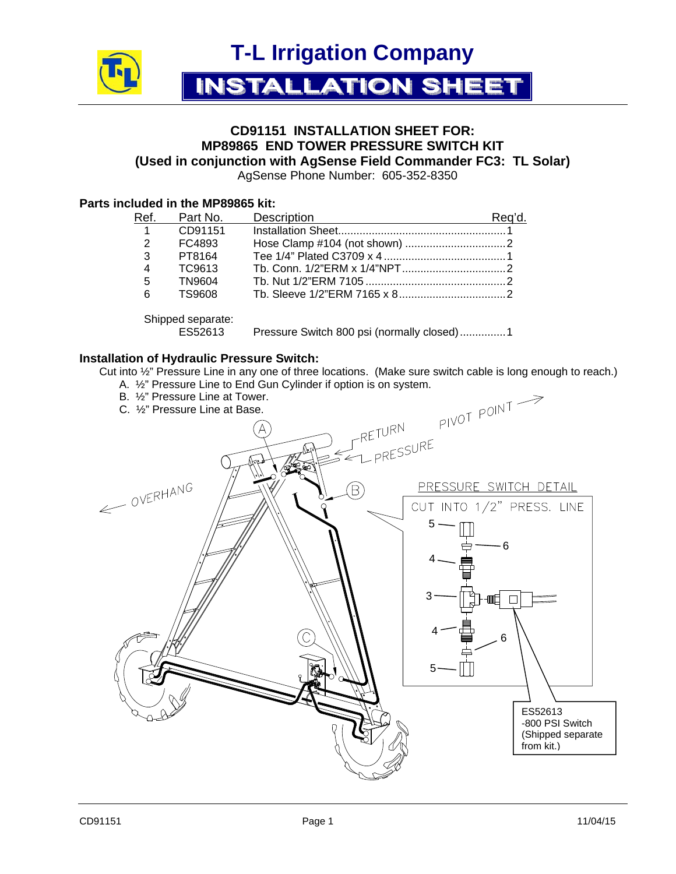

## **CD91151 INSTALLATION SHEET FOR: MP89865 END TOWER PRESSURE SWITCH KIT (Used in conjunction with AgSense Field Commander FC3: TL Solar)**

AgSense Phone Number: 605-352-8350

## **Parts included in the MP89865 kit:**

| Ref.          | Part No. | Description | Reg'd. |
|---------------|----------|-------------|--------|
| 1             | CD91151  |             |        |
| $\mathcal{P}$ | FC4893   |             |        |
| 3             | PT8164   |             |        |
| 4             | TC9613   |             |        |
| 5             | TN9604   |             |        |
| 6             | TS9608   |             |        |

Shipped separate:

ES52613 Pressure Switch 800 psi (normally closed) ............... 1

## **Installation of Hydraulic Pressure Switch:**

Cut into ½" Pressure Line in any one of three locations. (Make sure switch cable is long enough to reach.)